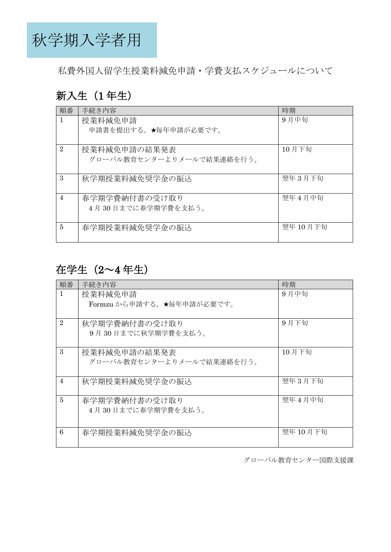秋学期入学者用

私費外国人留学生授業料減免申請・学費支払スケジュールについて

### 新入生 (1年生)

| 順番             | 手続き内容                                     | 時期        |
|----------------|-------------------------------------------|-----------|
| $\mathbf{1}$   | 授業料減免申請                                   | 9月中旬      |
|                | 申請書を提出する。★毎年申請が必要です。                      |           |
| $\overline{2}$ | 授業料減免申請の結果発表<br>グローバル教育センターよりメールで結果連絡を行う。 | 10月下旬     |
| $\mathcal{S}$  | 秋学期授業料減免奨学金の振込                            | 翌年3月下旬    |
| $\overline{4}$ | 春学期学費納付書の受け取り<br>4月30日までに春学期学費を支払う。       | 翌年4月中旬    |
| $\overline{5}$ | 春学期授業料減免奨学金の振込                            | 翌年 10 月下旬 |

## 在学生(2~4 年生)

| 順番             | 手続き内容                     | 時期        |
|----------------|---------------------------|-----------|
| $\mathbf{1}$   | 授業料減免申請                   | 9月中旬      |
|                | Formzu から申請する。★毎年申請が必要です。 |           |
|                |                           |           |
| $\overline{2}$ | 秋学期学費納付書の受け取り             | 9月下旬      |
|                | 9月30日までに秋学期学費を支払う。        |           |
|                |                           |           |
| 3              | 授業料減免申請の結果発表              | 10月下旬     |
|                | グローバル教育センターよりメールで結果連絡を行う。 |           |
|                |                           |           |
| $\overline{4}$ | 秋学期授業料減免奨学金の振込            | 翌年3月下旬    |
| 5              | 春学期学費納付書の受け取り             | 翌年4月中旬    |
|                |                           |           |
|                | 4月30日までに春学期学費を支払う。        |           |
|                |                           |           |
| 6              | 春学期授業料減免奨学金の振込            | 翌年 10 月下旬 |
|                |                           |           |

グローバル教育センター国際支援課